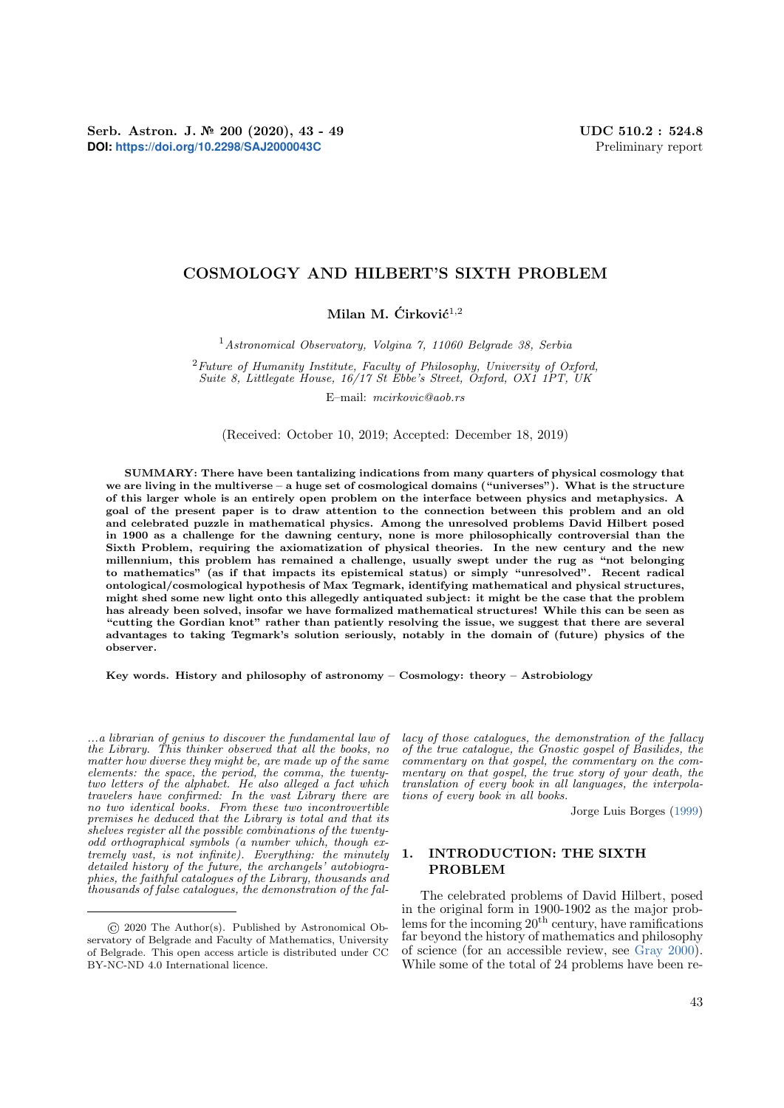Serb. Astron. J. № 200 (2020), 43 - 49 UDC 510.2 : 524.8 **DOI: <https://doi.org/10.2298/SAJ2000043C>** Preliminary report

# COSMOLOGY AND HILBERT'S SIXTH PROBLEM

Milan M.  $\text{Cirkovi} \text{c}^{1,2}$ 

<sup>1</sup>Astronomical Observatory, Volgina 7, 11060 Belgrade 38, Serbia

 $2$  Future of Humanity Institute, Faculty of Philosophy, University of Oxford, Suite 8, Littlegate House, 16/17 St Ebbe's Street, Oxford, OX1 1PT, UK

E–mail: mcirkovic@aob.rs

(Received: October 10, 2019; Accepted: December 18, 2019)

SUMMARY: There have been tantalizing indications from many quarters of physical cosmology that we are living in the multiverse – a huge set of cosmological domains ("universes"). What is the structure of this larger whole is an entirely open problem on the interface between physics and metaphysics. A goal of the present paper is to draw attention to the connection between this problem and an old and celebrated puzzle in mathematical physics. Among the unresolved problems David Hilbert posed in 1900 as a challenge for the dawning century, none is more philosophically controversial than the Sixth Problem, requiring the axiomatization of physical theories. In the new century and the new millennium, this problem has remained a challenge, usually swept under the rug as "not belonging to mathematics" (as if that impacts its epistemical status) or simply "unresolved". Recent radical ontological/cosmological hypothesis of Max Tegmark, identifying mathematical and physical structures, might shed some new light onto this allegedly antiquated subject: it might be the case that the problem has already been solved, insofar we have formalized mathematical structures! While this can be seen as "cutting the Gordian knot" rather than patiently resolving the issue, we suggest that there are several advantages to taking Tegmark's solution seriously, notably in the domain of (future) physics of the observer.

Key words. History and philosophy of astronomy – Cosmology: theory – Astrobiology

...a librarian of genius to discover the fundamental law of the Library. This thinker observed that all the books, no matter how diverse they might be, are made up of the same elements: the space, the period, the comma, the twentytwo letters of the alphabet. He also alleged a fact which travelers have confirmed: In the vast Library there are no two identical books. From these two incontrovertible premises he deduced that the Library is total and that its shelves register all the possible combinations of the twentyodd orthographical symbols (a number which, though extremely vast, is not infinite). Everything: the minutely detailed history of the future, the archangels' autobiographies, the faithful catalogues of the Library, thousands and thousands of false catalogues, the demonstration of the fallacy of those catalogues, the demonstration of the fallacy of the true catalogue, the Gnostic gospel of Basilides, the commentary on that gospel, the commentary on the commentary on that gospel, the true story of your death, the translation of every book in all languages, the interpolations of every book in all books.

Jorge Luis Borges [\(1999\)](#page-4-0)

## 1. INTRODUCTION: THE SIXTH PROBLEM

The celebrated problems of David Hilbert, posed in the original form in 1900-1902 as the major problems for the incoming  $20<sup>th</sup>$  century, have ramifications far beyond the history of mathematics and philosophy of science (for an accessible review, see [Gray](#page-5-0) [2000\)](#page-5-0). While some of the total of 24 problems have been re-

<sup>©</sup> 2020 The Author(s). Published by Astronomical Observatory of Belgrade and Faculty of Mathematics, University of Belgrade. This open access article is distributed under CC BY-NC-ND 4.0 International licence.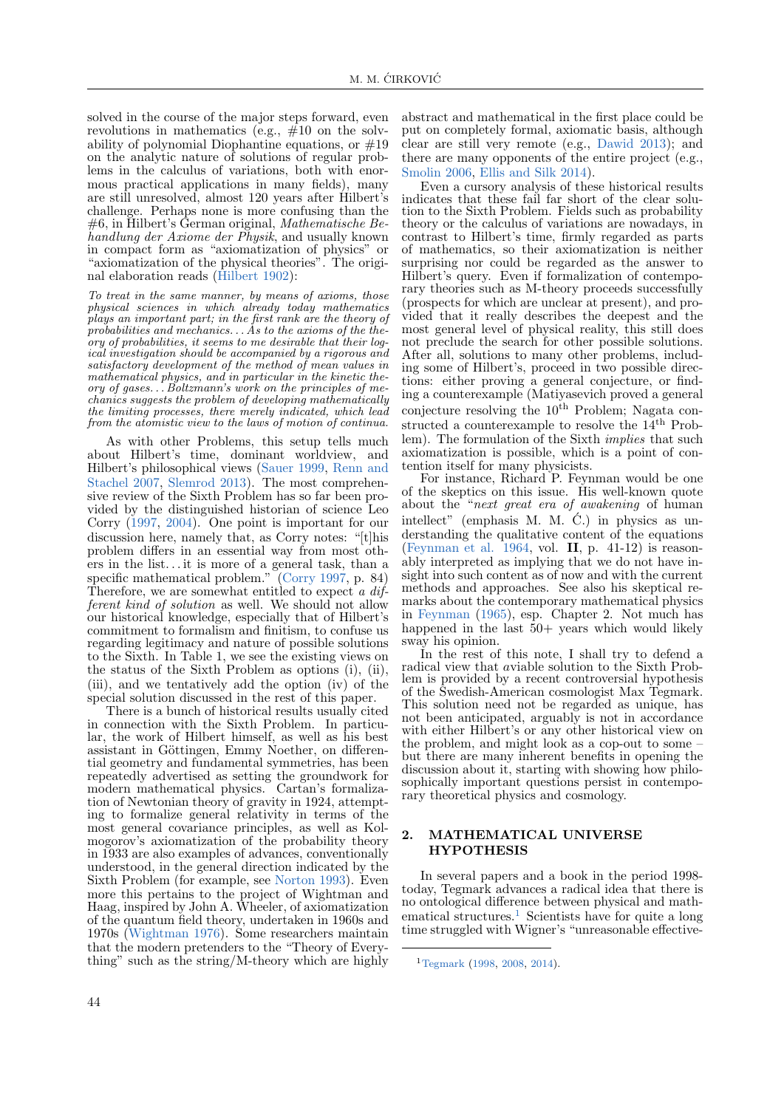solved in the course of the major steps forward, even revolutions in mathematics (e.g.,  $\#10$  on the solvability of polynomial Diophantine equations, or  $\#19$ on the analytic nature of solutions of regular problems in the calculus of variations, both with enormous practical applications in many fields), many are still unresolved, almost 120 years after Hilbert's challenge. Perhaps none is more confusing than the #6, in Hilbert's German original, Mathematische Behandlung der Axiome der Physik, and usually known in compact form as "axiomatization of physics" or "axiomatization of the physical theories". The original elaboration reads [\(Hilbert](#page-5-1) [1902\)](#page-5-1):

To treat in the same manner, by means of axioms, those physical sciences in which already today mathematics plays an important part; in the first rank are the theory of probabilities and mechanics. . . As to the axioms of the theory of probabilities, it seems to me desirable that their logical investigation should be accompanied by a rigorous and satisfactory development of the method of mean values in mathematical physics, and in particular in the kinetic theory of gases. . . Boltzmann's work on the principles of mechanics suggests the problem of developing mathematically the limiting processes, there merely indicated, which lead from the atomistic view to the laws of motion of continua.

As with other Problems, this setup tells much about Hilbert's time, dominant worldview, and Hilbert's philosophical views [\(Sauer](#page-5-2) [1999,](#page-5-2) [Renn and](#page-5-3) [Stachel](#page-5-3) [2007,](#page-5-3) [Slemrod](#page-5-4) [2013\)](#page-5-4). The most comprehensive review of the Sixth Problem has so far been provided by the distinguished historian of science Leo Corry [\(1997,](#page-5-5) [2004\)](#page-5-6). One point is important for our discussion here, namely that, as Corry notes: "[t]his problem differs in an essential way from most others in the list. . . it is more of a general task, than a specific mathematical problem." [\(Corry](#page-5-5) [1997,](#page-5-5) p. 84) Therefore, we are somewhat entitled to expect a different kind of solution as well. We should not allow our historical knowledge, especially that of Hilbert's commitment to formalism and finitism, to confuse us regarding legitimacy and nature of possible solutions to the Sixth. In Table 1, we see the existing views on the status of the Sixth Problem as options (i), (ii), (iii), and we tentatively add the option (iv) of the special solution discussed in the rest of this paper.

There is a bunch of historical results usually cited in connection with the Sixth Problem. In particular, the work of Hilbert himself, as well as his best assistant in Göttingen, Emmy Noether, on differential geometry and fundamental symmetries, has been repeatedly advertised as setting the groundwork for modern mathematical physics. Cartan's formalization of Newtonian theory of gravity in 1924, attempting to formalize general relativity in terms of the most general covariance principles, as well as Kolmogorov's axiomatization of the probability theory in 1933 are also examples of advances, conventionally understood, in the general direction indicated by the Sixth Problem (for example, see [Norton](#page-5-7) [1993\)](#page-5-7). Even more this pertains to the project of Wightman and Haag, inspired by John A. Wheeler, of axiomatization of the quantum field theory, undertaken in 1960s and 1970s [\(Wightman](#page-5-8) [1976\)](#page-5-8). Some researchers maintain that the modern pretenders to the "Theory of Everything" such as the string/M-theory which are highly

abstract and mathematical in the first place could be put on completely formal, axiomatic basis, although clear are still very remote (e.g., [Dawid](#page-5-9) [2013\)](#page-5-9); and there are many opponents of the entire project (e.g., [Smolin](#page-5-10) [2006,](#page-5-10) [Ellis and Silk](#page-5-11) [2014\)](#page-5-11).

Even a cursory analysis of these historical results indicates that these fail far short of the clear solution to the Sixth Problem. Fields such as probability theory or the calculus of variations are nowadays, in contrast to Hilbert's time, firmly regarded as parts of mathematics, so their axiomatization is neither surprising nor could be regarded as the answer to Hilbert's query. Even if formalization of contemporary theories such as M-theory proceeds successfully (prospects for which are unclear at present), and provided that it really describes the deepest and the most general level of physical reality, this still does not preclude the search for other possible solutions. After all, solutions to many other problems, including some of Hilbert's, proceed in two possible directions: either proving a general conjecture, or finding a counterexample (Matiyasevich proved a general conjecture resolving the  $10<sup>th</sup>$  Problem; Nagata constructed a counterexample to resolve the  $14<sup>th</sup>$  Problem). The formulation of the Sixth implies that such axiomatization is possible, which is a point of contention itself for many physicists.

For instance, Richard P. Feynman would be one of the skeptics on this issue. His well-known quote about the "next great era of awakening of human intellect" (emphasis M. M.  $\dot{C}$ .) in physics as understanding the qualitative content of the equations [\(Feynman et al.](#page-5-12) [1964,](#page-5-12) vol. II, p. 41-12) is reasonably interpreted as implying that we do not have insight into such content as of now and with the current methods and approaches. See also his skeptical remarks about the contemporary mathematical physics in [Feynman](#page-5-13) [\(1965\)](#page-5-13), esp. Chapter 2. Not much has happened in the last  $50+$  years which would likely sway his opinion.

In the rest of this note, I shall try to defend a radical view that aviable solution to the Sixth Problem is provided by a recent controversial hypothesis of the Swedish-American cosmologist Max Tegmark. This solution need not be regarded as unique, has not been anticipated, arguably is not in accordance with either Hilbert's or any other historical view on the problem, and might look as a cop-out to some – but there are many inherent benefits in opening the discussion about it, starting with showing how philosophically important questions persist in contemporary theoretical physics and cosmology.

### 2. MATHEMATICAL UNIVERSE HYPOTHESIS

In several papers and a book in the period 1998 today, Tegmark advances a radical idea that there is no ontological difference between physical and math-ematical structures.<sup>[1](#page-1-0)</sup> Scientists have for quite a long time struggled with Wigner's "unreasonable effective-

<span id="page-1-0"></span><sup>1</sup>[Tegmark](#page-5-14) [\(1998,](#page-5-14) [2008,](#page-5-15) [2014\)](#page-5-16).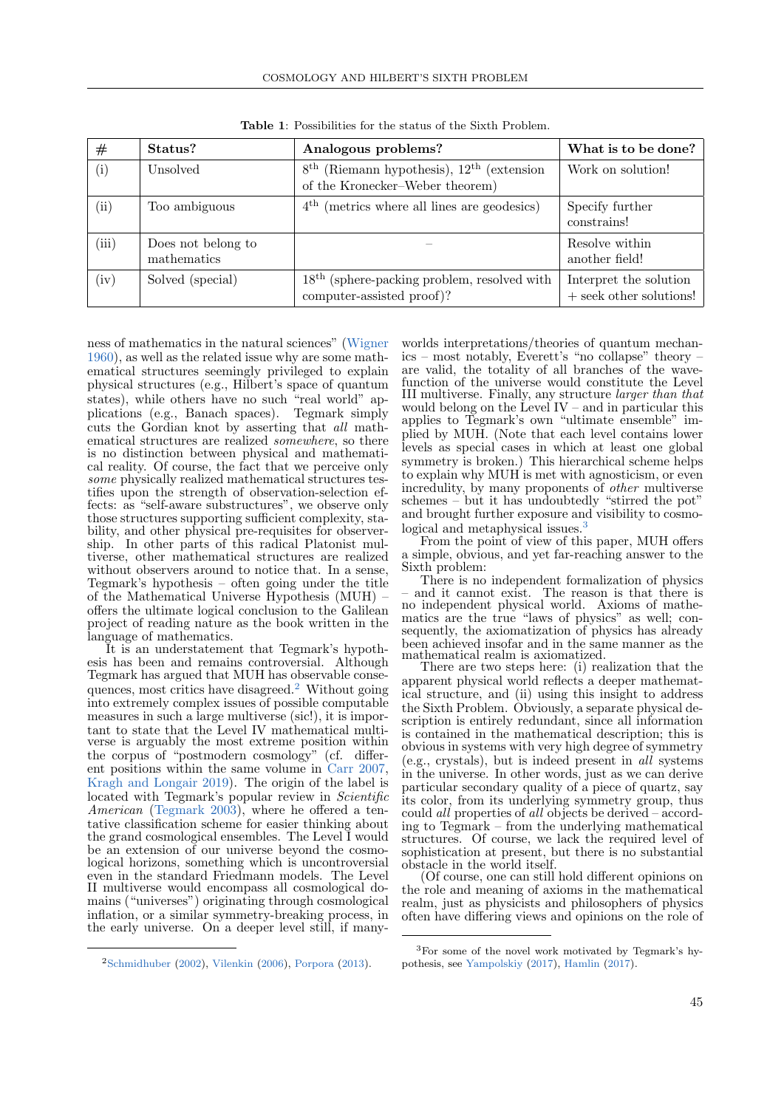| #                   | Status?                           | Analogous problems?                                                                                      | What is to be done?                                 |
|---------------------|-----------------------------------|----------------------------------------------------------------------------------------------------------|-----------------------------------------------------|
| $\rm(i)$            | Unsolved                          | (Riemann hypothesis), $12^{\text{th}}$ (extension)<br>8 <sup>th</sup><br>of the Kronecker-Weber theorem) | Work on solution!                                   |
| $\left( ii \right)$ | Too ambiguous                     | $4th$ (metrics where all lines are geodesics)                                                            | Specify further<br>constrains!                      |
| (iii)               | Does not belong to<br>mathematics |                                                                                                          | Resolve within<br>another field!                    |
| (iv)                | Solved (special)                  | $18th$ (sphere-packing problem, resolved with<br>computer-assisted proof)?                               | Interpret the solution<br>$+$ seek other solutions! |

Table 1: Possibilities for the status of the Sixth Problem.

ness of mathematics in the natural sciences" [\(Wigner](#page-5-17) [1960\)](#page-5-17), as well as the related issue why are some mathematical structures seemingly privileged to explain physical structures (e.g., Hilbert's space of quantum states), while others have no such "real world" applications (e.g., Banach spaces). Tegmark simply cuts the Gordian knot by asserting that all mathematical structures are realized somewhere, so there is no distinction between physical and mathematical reality. Of course, the fact that we perceive only some physically realized mathematical structures testifies upon the strength of observation-selection effects: as "self-aware substructures", we observe only those structures supporting sufficient complexity, stability, and other physical pre-requisites for observership. In other parts of this radical Platonist multiverse, other mathematical structures are realized without observers around to notice that. In a sense, Tegmark's hypothesis – often going under the title of the Mathematical Universe Hypothesis (MUH) – offers the ultimate logical conclusion to the Galilean project of reading nature as the book written in the language of mathematics.

It is an understatement that Tegmark's hypothesis has been and remains controversial. Although Tegmark has argued that MUH has observable consequences, most critics have disagreed.[2](#page-2-0) Without going into extremely complex issues of possible computable measures in such a large multiverse (sic!), it is important to state that the Level IV mathematical multiverse is arguably the most extreme position within the corpus of "postmodern cosmology" (cf. different positions within the same volume in [Carr](#page-4-1) [2007,](#page-4-1) [Kragh and Longair](#page-5-18) [2019\)](#page-5-18). The origin of the label is located with Tegmark's popular review in Scientific American [\(Tegmark](#page-5-19) [2003\)](#page-5-19), where he offered a tentative classification scheme for easier thinking about the grand cosmological ensembles. The Level I would be an extension of our universe beyond the cosmological horizons, something which is uncontroversial even in the standard Friedmann models. The Level II multiverse would encompass all cosmological domains ("universes") originating through cosmological inflation, or a similar symmetry-breaking process, in the early universe. On a deeper level still, if manyworlds interpretations/theories of quantum mechanics – most notably, Everett's "no collapse" theory – are valid, the totality of all branches of the wavefunction of the universe would constitute the Level III multiverse. Finally, any structure larger than that would belong on the Level IV – and in particular this applies to Tegmark's own "ultimate ensemble" implied by MUH. (Note that each level contains lower levels as special cases in which at least one global symmetry is broken.) This hierarchical scheme helps to explain why MUH is met with agnosticism, or even incredulity, by many proponents of other multiverse schemes – but it has undoubtedly "stirred the pot" and brought further exposure and visibility to cosmo-logical and metaphysical issues.<sup>[3](#page-2-1)</sup>

From the point of view of this paper, MUH offers a simple, obvious, and yet far-reaching answer to the Sixth problem:

There is no independent formalization of physics – and it cannot exist. The reason is that there is no independent physical world. Axioms of mathematics are the true "laws of physics" as well; consequently, the axiomatization of physics has already been achieved insofar and in the same manner as the mathematical realm is axiomatized.

There are two steps here: (i) realization that the apparent physical world reflects a deeper mathematical structure, and (ii) using this insight to address the Sixth Problem. Obviously, a separate physical description is entirely redundant, since all information is contained in the mathematical description; this is obvious in systems with very high degree of symmetry (e.g., crystals), but is indeed present in all systems in the universe. In other words, just as we can derive particular secondary quality of a piece of quartz, say its color, from its underlying symmetry group, thus could *all* properties of *all* objects be derived  $-$  according to Tegmark – from the underlying mathematical structures. Of course, we lack the required level of sophistication at present, but there is no substantial obstacle in the world itself.

(Of course, one can still hold different opinions on the role and meaning of axioms in the mathematical realm, just as physicists and philosophers of physics often have differing views and opinions on the role of

<span id="page-2-0"></span><sup>2</sup>[Schmidhuber](#page-5-20) [\(2002\)](#page-5-20), [Vilenkin](#page-5-21) [\(2006\)](#page-5-21), [Porpora](#page-5-22) [\(2013\)](#page-5-22).

<span id="page-2-1"></span><sup>3</sup>For some of the novel work motivated by Tegmark's hypothesis, see [Yampolskiy](#page-5-23) [\(2017\)](#page-5-23), [Hamlin](#page-5-24) [\(2017\)](#page-5-24).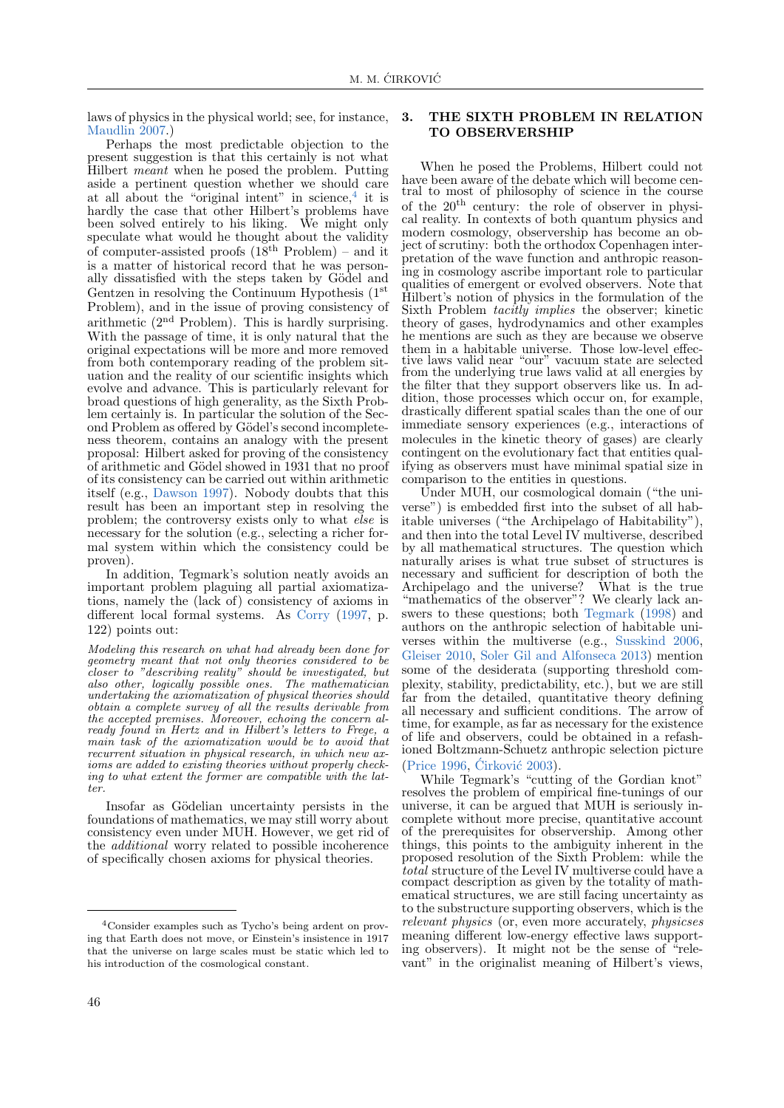laws of physics in the physical world; see, for instance, [Maudlin](#page-5-25) [2007.](#page-5-25))

Perhaps the most predictable objection to the present suggestion is that this certainly is not what Hilbert *meant* when he posed the problem. Putting aside a pertinent question whether we should care at all about the "original intent" in science, $4$  it is hardly the case that other Hilbert's problems have been solved entirely to his liking. We might only speculate what would he thought about the validity of computer-assisted proofs  $(18<sup>th</sup>$  Problem) – and it is a matter of historical record that he was personally dissatisfied with the steps taken by Gödel and Gentzen in resolving the Continuum Hypothesis (1<sup>st</sup>) Problem), and in the issue of proving consistency of arithmetic (2nd Problem). This is hardly surprising. With the passage of time, it is only natural that the original expectations will be more and more removed from both contemporary reading of the problem situation and the reality of our scientific insights which evolve and advance. This is particularly relevant for broad questions of high generality, as the Sixth Problem certainly is. In particular the solution of the Second Problem as offered by Gödel's second incompleteness theorem, contains an analogy with the present proposal: Hilbert asked for proving of the consistency of arithmetic and Gödel showed in 1931 that no proof of its consistency can be carried out within arithmetic itself (e.g., [Dawson](#page-5-26) [1997\)](#page-5-26). Nobody doubts that this result has been an important step in resolving the problem; the controversy exists only to what else is necessary for the solution (e.g., selecting a richer formal system within which the consistency could be proven).

In addition, Tegmark's solution neatly avoids an important problem plaguing all partial axiomatizations, namely the (lack of) consistency of axioms in different local formal systems. As [Corry](#page-5-5) [\(1997,](#page-5-5) p. 122) points out:

Modeling this research on what had already been done for geometry meant that not only theories considered to be closer to "describing reality" should be investigated, but also other, logically possible ones. The mathematician undertaking the axiomatization of physical theories should obtain a complete survey of all the results derivable from the accepted premises. Moreover, echoing the concern already found in Hertz and in Hilbert's letters to Frege, a main task of the axiomatization would be to avoid that recurrent situation in physical research, in which new axioms are added to existing theories without properly checking to what extent the former are compatible with the latter.

Insofar as Gödelian uncertainty persists in the foundations of mathematics, we may still worry about consistency even under MUH. However, we get rid of the additional worry related to possible incoherence of specifically chosen axioms for physical theories.

### 3. THE SIXTH PROBLEM IN RELATION TO OBSERVERSHIP

When he posed the Problems, Hilbert could not have been aware of the debate which will become central to most of philosophy of science in the course of the  $20<sup>th</sup>$  century: the role of observer in physical reality. In contexts of both quantum physics and modern cosmology, observership has become an object of scrutiny: both the orthodox Copenhagen interpretation of the wave function and anthropic reasoning in cosmology ascribe important role to particular qualities of emergent or evolved observers. Note that Hilbert's notion of physics in the formulation of the Sixth Problem tacitly implies the observer; kinetic theory of gases, hydrodynamics and other examples he mentions are such as they are because we observe them in a habitable universe. Those low-level effective laws valid near "our" vacuum state are selected from the underlying true laws valid at all energies by the filter that they support observers like us. In addition, those processes which occur on, for example, drastically different spatial scales than the one of our immediate sensory experiences (e.g., interactions of molecules in the kinetic theory of gases) are clearly contingent on the evolutionary fact that entities qualifying as observers must have minimal spatial size in comparison to the entities in questions.

Under MUH, our cosmological domain ("the universe") is embedded first into the subset of all habitable universes ("the Archipelago of Habitability"), and then into the total Level IV multiverse, described by all mathematical structures. The question which naturally arises is what true subset of structures is necessary and sufficient for description of both the Archipelago and the universe? What is the true "mathematics of the observer"? We clearly lack an-swers to these questions; both [Tegmark](#page-5-14) [\(1998\)](#page-5-14) and authors on the anthropic selection of habitable universes within the multiverse (e.g., [Susskind](#page-5-27) [2006,](#page-5-27) [Gleiser](#page-5-28) [2010,](#page-5-28) [Soler Gil and Alfonseca](#page-5-29) [2013\)](#page-5-29) mention some of the desiderata (supporting threshold complexity, stability, predictability, etc.), but we are still far from the detailed, quantitative theory defining all necessary and sufficient conditions. The arrow of time, for example, as far as necessary for the existence of life and observers, could be obtained in a refashioned Boltzmann-Schuetz anthropic selection picture [\(Price](#page-5-30) [1996,](#page-5-30) Cirković [2003\)](#page-4-2).

While Tegmark's "cutting of the Gordian knot" resolves the problem of empirical fine-tunings of our universe, it can be argued that MUH is seriously incomplete without more precise, quantitative account of the prerequisites for observership. Among other things, this points to the ambiguity inherent in the proposed resolution of the Sixth Problem: while the total structure of the Level IV multiverse could have a compact description as given by the totality of mathematical structures, we are still facing uncertainty as to the substructure supporting observers, which is the relevant physics (or, even more accurately, physicses meaning different low-energy effective laws supporting observers). It might not be the sense of "relevant" in the originalist meaning of Hilbert's views,

<span id="page-3-0"></span><sup>4</sup>Consider examples such as Tycho's being ardent on proving that Earth does not move, or Einstein's insistence in 1917 that the universe on large scales must be static which led to his introduction of the cosmological constant.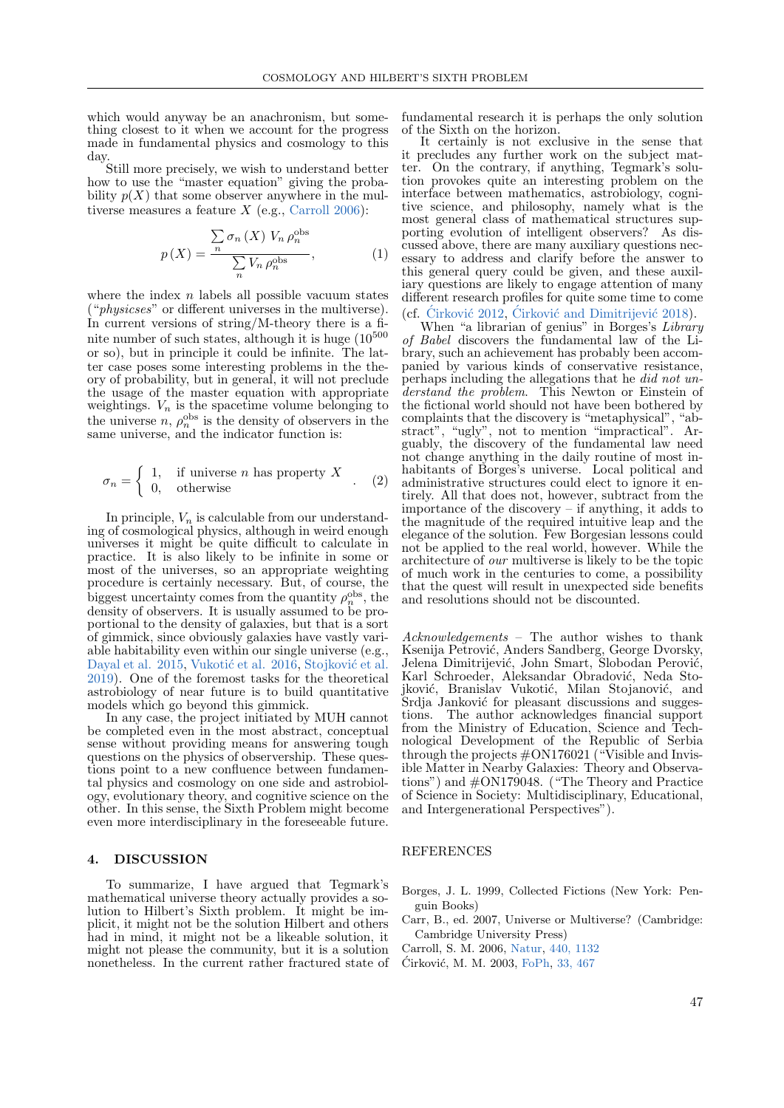which would anyway be an anachronism, but something closest to it when we account for the progress made in fundamental physics and cosmology to this day.

Still more precisely, we wish to understand better how to use the "master equation" giving the probability  $p(X)$  that some observer anywhere in the multiverse measures a feature  $X$  (e.g., [Carroll](#page-4-3) [2006\)](#page-4-3):

$$
p(X) = \frac{\sum_{n} \sigma_n(X) V_n \rho_n^{\text{obs}}}{\sum_{n} V_n \rho_n^{\text{obs}}},
$$
 (1)

where the index  $n$  labels all possible vacuum states ("physicses" or different universes in the multiverse). In current versions of string/M-theory there is a finite number of such states, although it is huge  $(10^{500}$ or so), but in principle it could be infinite. The latter case poses some interesting problems in the theory of probability, but in general, it will not preclude the usage of the master equation with appropriate weightings.  $V_n$  is the spacetime volume belonging to the universe  $n, \rho_n^{\text{obs}}$  is the density of observers in the same universe, and the indicator function is:

$$
\sigma_n = \left\{ \begin{array}{ll} 1, & \text{if universe } n \text{ has property } X \\ 0, & \text{otherwise} \end{array} \right. \tag{2}
$$

In principle,  $V_n$  is calculable from our understanding of cosmological physics, although in weird enough universes it might be quite difficult to calculate in practice. It is also likely to be infinite in some or most of the universes, so an appropriate weighting procedure is certainly necessary. But, of course, the biggest uncertainty comes from the quantity  $\rho_n^{\text{obs}}$ , the density of observers. It is usually assumed to be proportional to the density of galaxies, but that is a sort of gimmick, since obviously galaxies have vastly variable habitability even within our single universe (e.g., [Dayal et al.](#page-5-31) [2015,](#page-5-31) Vukotić et al. [2016,](#page-5-32) Stojković et al. [2019\)](#page-5-33). One of the foremost tasks for the theoretical astrobiology of near future is to build quantitative models which go beyond this gimmick.

In any case, the project initiated by MUH cannot be completed even in the most abstract, conceptual sense without providing means for answering tough questions on the physics of observership. These questions point to a new confluence between fundamental physics and cosmology on one side and astrobiology, evolutionary theory, and cognitive science on the other. In this sense, the Sixth Problem might become even more interdisciplinary in the foreseeable future.

#### 4. DISCUSSION

To summarize, I have argued that Tegmark's mathematical universe theory actually provides a solution to Hilbert's Sixth problem. It might be implicit, it might not be the solution Hilbert and others had in mind, it might not be a likeable solution, it might not please the community, but it is a solution nonetheless. In the current rather fractured state of

fundamental research it is perhaps the only solution of the Sixth on the horizon.

It certainly is not exclusive in the sense that it precludes any further work on the subject matter. On the contrary, if anything, Tegmark's solution provokes quite an interesting problem on the interface between mathematics, astrobiology, cognitive science, and philosophy, namely what is the most general class of mathematical structures supporting evolution of intelligent observers? As discussed above, there are many auxiliary questions necessary to address and clarify before the answer to this general query could be given, and these auxiliary questions are likely to engage attention of many different research profiles for quite some time to come (cf. Cirković  $2012$ , Cirković and Dimitrijević  $2018$ ).

When "a librarian of genius" in Borges's Library of Babel discovers the fundamental law of the Library, such an achievement has probably been accompanied by various kinds of conservative resistance, perhaps including the allegations that he did not understand the problem. This Newton or Einstein of the fictional world should not have been bothered by complaints that the discovery is "metaphysical", "abstract", "ugly", not to mention "impractical". Arguably, the discovery of the fundamental law need not change anything in the daily routine of most inhabitants of Borges's universe. Local political and administrative structures could elect to ignore it entirely. All that does not, however, subtract from the importance of the discovery – if anything, it adds to the magnitude of the required intuitive leap and the elegance of the solution. Few Borgesian lessons could not be applied to the real world, however. While the architecture of our multiverse is likely to be the topic of much work in the centuries to come, a possibility that the quest will result in unexpected side benefits and resolutions should not be discounted.

Acknowledgements – The author wishes to thank Ksenija Petrović, Anders Sandberg, George Dvorsky, Jelena Dimitrijević, John Smart, Slobodan Perović, Karl Schroeder, Aleksandar Obradović, Neda Stojković, Branislav Vukotić, Milan Stojanović, and Srdja Janković for pleasant discussions and suggestions. The author acknowledges financial support from the Ministry of Education, Science and Technological Development of the Republic of Serbia through the projects  $\#ON176021$  ("Visible and Invisible Matter in Nearby Galaxies: Theory and Observations") and #ON179048. ("The Theory and Practice of Science in Society: Multidisciplinary, Educational, and Intergenerational Perspectives").

#### REFERENCES

- <span id="page-4-0"></span>Borges, J. L. 1999, Collected Fictions (New York: Penguin Books)
- <span id="page-4-1"></span>Carr, B., ed. 2007, Universe or Multiverse? (Cambridge: Cambridge University Press)
- <span id="page-4-3"></span>Carroll, S. M. 2006, [Natur,](https://ui.adsabs.harvard.edu/abs/2006Natur.440.1132C) [440, 1132](https://ui.adsabs.harvard.edu/abs/2006Natur.440.1132C)
- <span id="page-4-2"></span>Ćirković, M. M. 2003, [FoPh,](https://ui.adsabs.harvard.edu/abs/2003FoPh...33..467C) [33, 467](https://ui.adsabs.harvard.edu/abs/2003FoPh...33..467C)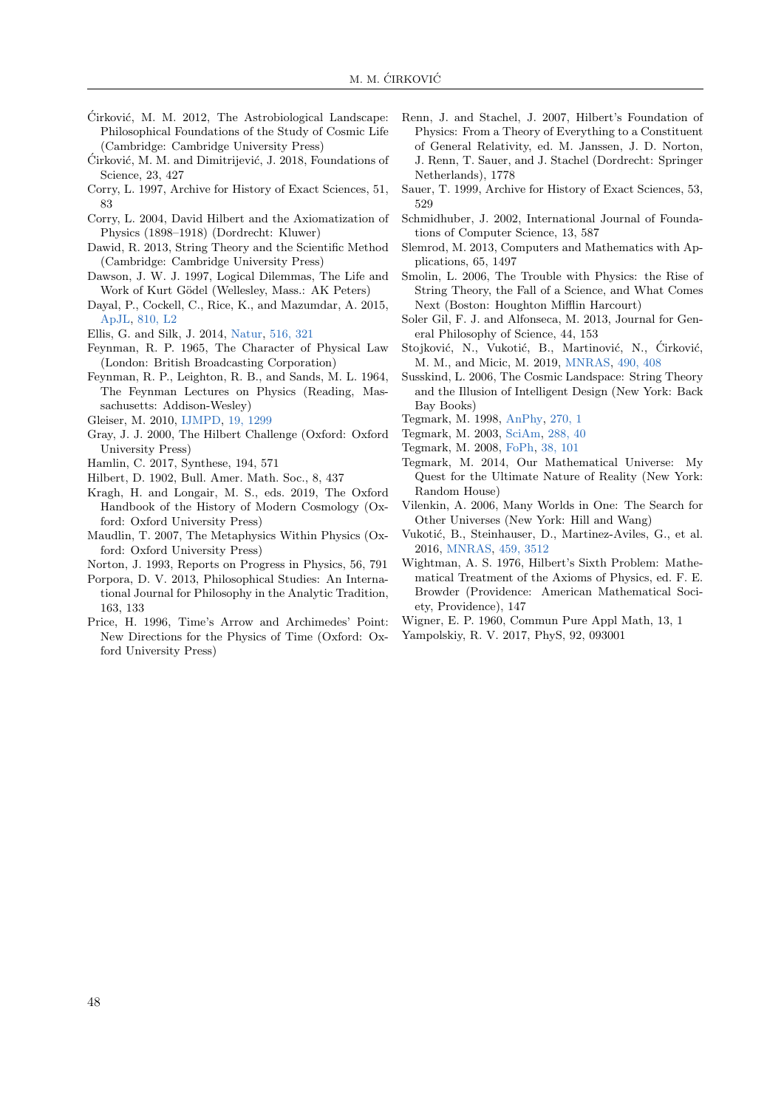- <span id="page-5-34"></span>Ćirković, M. M. 2012, The Astrobiological Landscape: Philosophical Foundations of the Study of Cosmic Life (Cambridge: Cambridge University Press)
- <span id="page-5-35"></span>Čirković, M. M. and Dimitrijević, J. 2018, Foundations of Science, 23, 427
- <span id="page-5-5"></span>Corry, L. 1997, Archive for History of Exact Sciences, 51, 83
- <span id="page-5-6"></span>Corry, L. 2004, David Hilbert and the Axiomatization of Physics (1898–1918) (Dordrecht: Kluwer)
- <span id="page-5-9"></span>Dawid, R. 2013, String Theory and the Scientific Method (Cambridge: Cambridge University Press)
- <span id="page-5-26"></span>Dawson, J. W. J. 1997, Logical Dilemmas, The Life and Work of Kurt Gödel (Wellesley, Mass.: AK Peters)
- <span id="page-5-31"></span>Dayal, P., Cockell, C., Rice, K., and Mazumdar, A. 2015, [ApJL,](https://ui.adsabs.harvard.edu/abs/2015ApJ...810L...2D) [810, L2](https://ui.adsabs.harvard.edu/abs/2015ApJ...810L...2D)
- <span id="page-5-11"></span>Ellis, G. and Silk, J. 2014, [Natur,](https://ui.adsabs.harvard.edu/abs/2014Natur.516..321E) [516, 321](https://ui.adsabs.harvard.edu/abs/2014Natur.516..321E)
- <span id="page-5-13"></span>Feynman, R. P. 1965, The Character of Physical Law (London: British Broadcasting Corporation)
- <span id="page-5-12"></span>Feynman, R. P., Leighton, R. B., and Sands, M. L. 1964, The Feynman Lectures on Physics (Reading, Massachusetts: Addison-Wesley)
- <span id="page-5-28"></span>Gleiser, M. 2010, [IJMPD,](https://ui.adsabs.harvard.edu/abs/2010IJMPD..19.1299G) [19, 1299](https://ui.adsabs.harvard.edu/abs/2010IJMPD..19.1299G)
- <span id="page-5-0"></span>Gray, J. J. 2000, The Hilbert Challenge (Oxford: Oxford University Press)
- <span id="page-5-24"></span>Hamlin, C. 2017, Synthese, 194, 571
- <span id="page-5-1"></span>Hilbert, D. 1902, Bull. Amer. Math. Soc., 8, 437
- <span id="page-5-18"></span>Kragh, H. and Longair, M. S., eds. 2019, The Oxford Handbook of the History of Modern Cosmology (Oxford: Oxford University Press)
- <span id="page-5-25"></span>Maudlin, T. 2007, The Metaphysics Within Physics (Oxford: Oxford University Press)
- <span id="page-5-7"></span>Norton, J. 1993, Reports on Progress in Physics, 56, 791
- <span id="page-5-22"></span>Porpora, D. V. 2013, Philosophical Studies: An International Journal for Philosophy in the Analytic Tradition, 163, 133
- <span id="page-5-30"></span>Price, H. 1996, Time's Arrow and Archimedes' Point: New Directions for the Physics of Time (Oxford: Oxford University Press)
- <span id="page-5-3"></span>Renn, J. and Stachel, J. 2007, Hilbert's Foundation of Physics: From a Theory of Everything to a Constituent of General Relativity, ed. M. Janssen, J. D. Norton, J. Renn, T. Sauer, and J. Stachel (Dordrecht: Springer Netherlands), 1778
- <span id="page-5-2"></span>Sauer, T. 1999, Archive for History of Exact Sciences, 53, 529
- <span id="page-5-20"></span>Schmidhuber, J. 2002, International Journal of Foundations of Computer Science, 13, 587
- <span id="page-5-4"></span>Slemrod, M. 2013, Computers and Mathematics with Applications, 65, 1497
- <span id="page-5-10"></span>Smolin, L. 2006, The Trouble with Physics: the Rise of String Theory, the Fall of a Science, and What Comes Next (Boston: Houghton Mifflin Harcourt)
- <span id="page-5-29"></span>Soler Gil, F. J. and Alfonseca, M. 2013, Journal for General Philosophy of Science, 44, 153
- <span id="page-5-33"></span>Stojković, N., Vukotić, B., Martinović, N., Ćirković, M. M., and Micic, M. 2019, [MNRAS,](https://ui.adsabs.harvard.edu/abs/2019MNRAS.490..408S) [490, 408](https://ui.adsabs.harvard.edu/abs/2019MNRAS.490..408S)
- <span id="page-5-27"></span>Susskind, L. 2006, The Cosmic Landspace: String Theory and the Illusion of Intelligent Design (New York: Back Bay Books)
- <span id="page-5-14"></span>Tegmark, M. 1998, [AnPhy,](https://ui.adsabs.harvard.edu/abs/1998AnPhy.270....1T) [270, 1](https://ui.adsabs.harvard.edu/abs/1998AnPhy.270....1T)
- <span id="page-5-19"></span>Tegmark, M. 2003, [SciAm,](https://ui.adsabs.harvard.edu/abs/2003SciAm.288e..40T) [288, 40](https://ui.adsabs.harvard.edu/abs/2003SciAm.288e..40T)
- <span id="page-5-15"></span>Tegmark, M. 2008, [FoPh,](https://ui.adsabs.harvard.edu/abs/2008FoPh...38..101T) [38, 101](https://ui.adsabs.harvard.edu/abs/2008FoPh...38..101T)
- <span id="page-5-16"></span>Tegmark, M. 2014, Our Mathematical Universe: My Quest for the Ultimate Nature of Reality (New York: Random House)
- <span id="page-5-21"></span>Vilenkin, A. 2006, Many Worlds in One: The Search for Other Universes (New York: Hill and Wang)
- <span id="page-5-32"></span>Vukotić, B., Steinhauser, D., Martinez-Aviles, G., et al. 2016, [MNRAS,](https://ui.adsabs.harvard.edu/abs/2016MNRAS.459.3512V) [459, 3512](https://ui.adsabs.harvard.edu/abs/2016MNRAS.459.3512V)
- <span id="page-5-8"></span>Wightman, A. S. 1976, Hilbert's Sixth Problem: Mathematical Treatment of the Axioms of Physics, ed. F. E. Browder (Providence: American Mathematical Society, Providence), 147
- <span id="page-5-17"></span>Wigner, E. P. 1960, Commun Pure Appl Math, 13, 1
- <span id="page-5-23"></span>Yampolskiy, R. V. 2017, PhyS, 92, 093001